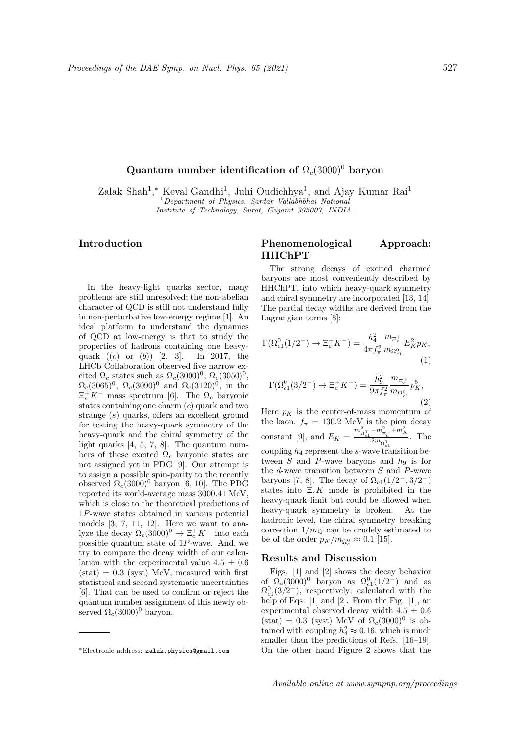# Quantum number identification of  $\Omega_c(3000)^0$  baryon

Zalak Shah<sup>1</sup>,\* Keval Gandhi<sup>1</sup>, Juhi Oudichhya<sup>1</sup>, and Ajay Kumar Rai<sup>1</sup> <sup>1</sup>Department of Physics, Sardar Vallabhbhai National Institute of Technology, Surat, Gujarat 395007, INDIA.

## Introduction

In the heavy-light quarks sector, many problems are still unresolved; the non-abelian character of QCD is still not understand fully in non-perturbative low-energy regime [1]. An ideal platform to understand the dynamics of QCD at low-energy is that to study the properties of hadrons containing one heavyquark  $((c)$  or  $(b)$  [2, 3]. In 2017, the LHCb Collaboration observed five narrow excited  $\Omega_c$  states such as  $\Omega_c(3000)^0$ ,  $\Omega_c(3050)^0$ ,  $\Omega_c(3065)^0$ ,  $\Omega_c(3090)^0$  and  $\Omega_c(3120)^0$ , in the  $\Xi_c^+ K^-$  mass spectrum [6]. The  $\Omega_c$  baryonic states containing one charm  $(c)$  quark and two strange (s) quarks, offers an excellent ground for testing the heavy-quark symmetry of the heavy-quark and the chiral symmetry of the light quarks [4, 5, 7, 8]. The quantum numbers of these excited  $\Omega_c$  baryonic states are not assigned yet in PDG [9]. Our attempt is to assign a possible spin-parity to the recently observed  $\Omega_c(3000)^0$  baryon [6, 10]. The PDG reported its world-average mass 3000.41 MeV, which is close to the theoretical predictions of 1P-wave states obtained in various potential models [3, 7, 11, 12]. Here we want to analyze the decay  $\Omega_c(3000)^0 \to \Xi_c^+ K^-$  into each possible quantum state of  $1P$ -wave. And, we try to compare the decay width of our calculation with the experimental value  $4.5 \pm 0.6$  $(stat) \pm 0.3$  (syst) MeV, measured with first statistical and second systematic uncertainties [6]. That can be used to confirm or reject the quantum number assignment of this newly observed  $\Omega_c(3000)^0$  baryon.

#### <sup>∗</sup>Electronic address: zalak.physics@gmail.com

## Phenomenological Approach: HHChPT

The strong decays of excited charmed baryons are most conveniently described by HHChPT, into which heavy-quark symmetry and chiral symmetry are incorporated [13, 14]. The partial decay widths are derived from the Lagrangian terms [8]:

$$
\Gamma(\Omega_{c1}^0(1/2^-) \to \Xi_c^+ K^-) = \frac{h_4^2}{4\pi f_\pi^2} \frac{m_{\Xi_c^+}}{m_{\Omega_{c1}^0}} E_K^2 p_K,\tag{1}
$$

$$
\Gamma(\Omega_{c1}^{0}(3/2^{-}) \to \Xi_c^+ K^-) = \frac{h_9^2}{9\pi f_\pi^2} \frac{m_{\Xi_c^+}}{m_{\Omega_{c1}^{0}}} p_K^5,
$$
\n(2)

Here  $p_K$  is the center-of-mass momentum of the kaon,  $f_{\pi} = 130.2$  MeV is the pion decay constant [9], and  $E_K = \frac{m_{\Omega_0^0}^2 - m_{\Xi_c^+}^2 + m_K^2}{2m_{\Omega^0}}$  $\frac{\Xi_c^{\perp} \qquad \Lambda}{2m_{\Omega_{c1}^0}}$ . The coupling  $h_4$  represent the s-wave transition between  $S$  and P-wave baryons and  $h_9$  is for the  $d$ -wave transition between  $S$  and  $P$ -wave baryons [7, 8]. The decay of  $\Omega_{c1}(1/2^-, 3/2^-)$ states into  $E_{c}K$  mode is prohibited in the heavy-quark limit but could be allowed when heavy-quark symmetry is broken. At the hadronic level, the chiral symmetry breaking correction  $1/m_Q$  can be crudely estimated to be of the order  $p_K/m_{\Omega_c^0} \approx 0.1$  [15].

### Results and Discussion

Figs. [1] and [2] shows the decay behavior of  $\Omega_c(3000)^0$  baryon as  $\Omega_c^0(1/2^-)$  and as  $\Omega_{c1}^0(3/2^-)$ , respectively; calculated with the help of Eqs. [1] and [2]. From the Fig. [1], an experimental observed decay width  $4.5 \pm 0.6$ (stat)  $\pm$  0.3 (syst) MeV of  $\Omega_c(3000)^0$  is obtained with coupling  $h_4^2 \approx 0.16$ , which is much smaller than the predictions of Refs. [16–19]. On the other hand Figure 2 shows that the